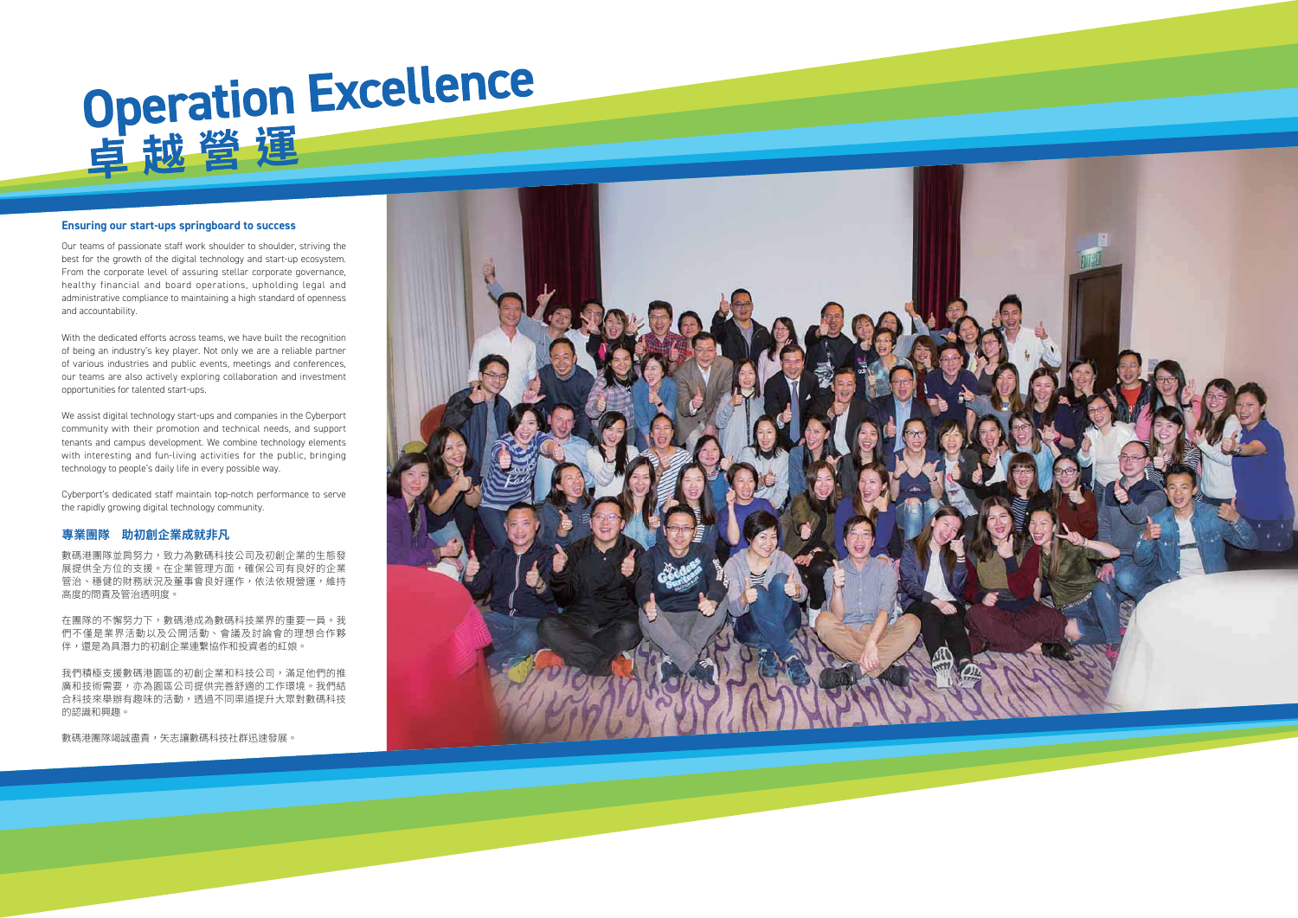# Operation Excellence

### **Ensuring our start-ups springboard to success**

Our teams of passionate staff work shoulder to shoulder, striving the best for the growth of the digital technology and start-up ecosystem. From the corporate level of assuring stellar corporate governance, healthy financial and board operations, upholding legal and administrative compliance to maintaining a high standard of openness and accountability.

With the dedicated efforts across teams, we have built the recognition of being an industry's key player. Not only we are a reliable partner of various industries and public events, meetings and conferences, our teams are also actively exploring collaboration and investment opportunities for talented start-ups.

We assist digital technology start-ups and companies in the Cyberport community with their promotion and technical needs, and support tenants and campus development. We combine technology elements with interesting and fun-living activities for the public, bringing technology to people's daily life in every possible way.

Cyberport's dedicated staff maintain top-notch performance to serve the rapidly growing digital technology community.

### 專業團隊 助初創企業成就非凡

數碼港團隊並肩努力,致力為數碼科技公司及初創企業的生態發 展提供全方位的支援。在企業管理方面,確保公司有良好的企業 管治、穩健的財務狀況及董事會良好運作,依法依規營運,維持 高度的問責及管治诱明度。

在團隊的不懈努力下,數碼港成為數碼科技業界的重要一員。我 們不僅是業界活動以及公開活動、會議及討論會的理想合作夥 伴,還是為具潛力的初創企業連繫協作和投資者的紅娘。

我們積極支援數碼港園區的初創企業和科技公司,滿足他們的推 廣和技術需要,亦為園區公司提供完善舒適的工作環境。我們結 合科技來舉辦有趣味的活動,透過不同渠道提升大眾對數碼科技 的認識和興趣。

數碼港團隊竭誠盡責,矢志讓數碼科技社群迅速發展。

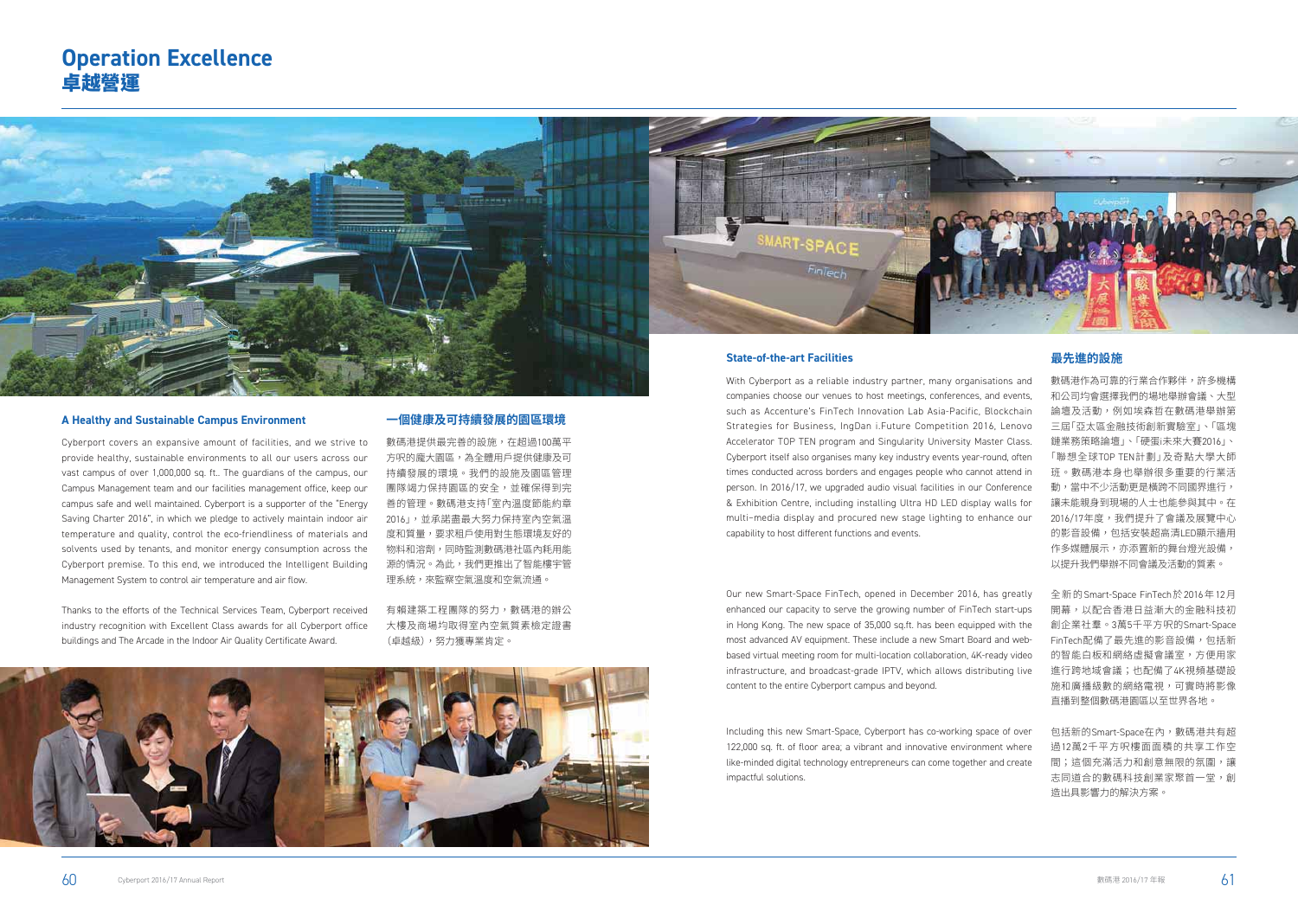companies choose our venues to host meetings, conferences, and events, such as Accenture's FinTech Innovation Lab Asia-Pacific, Blockchain Strategies for Business, IngDan i.Future Competition 2016, Lenovo Accelerator TOP TEN program and Singularity University Master Class. Cyberport itself also organises many key industry events year-round, often times conducted across borders and engages people who cannot attend in person. In 2016/17, we upgraded audio visual facilities in our Conference & Exhibition Centre, including installing Ultra HD LED display walls for multi–media display and procured new stage lighting to enhance our capability to host different functions and events.



# **Operation Excellence** 卓越營運

Our new Smart-Space FinTech, opened in December 2016, has greatly enhanced our capacity to serve the growing number of FinTech start-ups in Hong Kong. The new space of 35,000 sq.ft. has been equipped with the most advanced AV equipment. These include a new Smart Board and webbased virtual meeting room for multi-location collaboration, 4K-ready video infrastructure, and broadcast-grade IPTV, which allows distributing live content to the entire Cyberport campus and beyond.

Including this new Smart-Space, Cyberport has co-working space of over 122,000 sq. ft. of floor area; a vibrant and innovative environment where like-minded digital technology entrepreneurs can come together and create impactful solutions.

和公司均會選擇我們的場地舉辦會議、大型 論壇及活動,例如埃森哲在數碼港舉辦第 三屆「亞太區金融技術創新實驗室」、「區塊 鏈業務策略論壇」、「硬蛋i未來大賽2016」、 「聯想全球TOP TEN計劃」及奇點大學大師 班。數碼港本身也舉辦很多重要的行業活 動,當中不少活動更是橫跨不同國界進行, 讓未能親身到現場的人士也能參與其中。在 2016/17年度,我們提升了會議及展覽中心 的影音設備, 句括安裝超高清LFD顯示牆用 作多媒體展示,亦添置新的舞台燈光設備, 以提升我們舉辦不同會議及活動的質素。

全新的Smart-Space FinTech於2016年12月 開幕,以配合香港日益漸大的金融科技初 創企業社羣。3萬5千平方呎的Smart-Space FinTech配備了最先進的影音設備,包括新 的智能白板和網絡虚擬會議室,方便用家 進行跨地域會議;也配備了4K視頻基礎設 施和廣播級數的網絡電視,可實時將影像 直播到整個數碼港園區以至世界各地。

包括新的Smart-Space在內,數碼港共有超 過12萬2千平方呎樓面面積的共享工作空 間;這個充滿活力和創意無限的氛圍,讓 志同道合的數碼科技創業家聚首一堂,創 造出具影響力的解決方案。

### **A Healthy and Sustainable Campus Environment**

Cyberport covers an expansive amount of facilities, and we strive to provide healthy, sustainable environments to all our users across our vast campus of over 1,000,000 sq. ft.. The guardians of the campus, our Campus Management team and our facilities management office, keep our campus safe and well maintained. Cyberport is a supporter of the "Energy Saving Charter 2016", in which we pledge to actively maintain indoor air temperature and quality, control the eco-friendliness of materials and solvents used by tenants, and monitor energy consumption across the Cyberport premise. To this end, we introduced the Intelligent Building Management System to control air temperature and air flow.

Thanks to the efforts of the Technical Services Team, Cyberport received industry recognition with Excellent Class awards for all Cyberport office buildings and The Arcade in the Indoor Air Quality Certificate Award.

### **一個健康及可持續發展的園區環境**

數碼港提供最完善的設施,在超過100萬平 方呎的龐大園區,為全體用戶提供健康及可 持續發展的環境。我們的設施及園區管理 團隊竭力保持園區的安全,並確保得到完 善的管理。數碼港支持「室內溫度節能約章 2016」,並承諾盡最大努力保持室內空氣溫 度和質量,要求租戶使用對生態環境友好的 物料和溶劑,同時監測數碼港社區內耗用能 源的情況。為此,我們更推出了智能樓宇管 理系統,來監察空氣溫度和空氣流通。

有賴建築工程團隊的努力,數碼港的辦公 大樓及商場均取得室內空氣質素檢定證書 (卓越級),努力獲專業肯定。

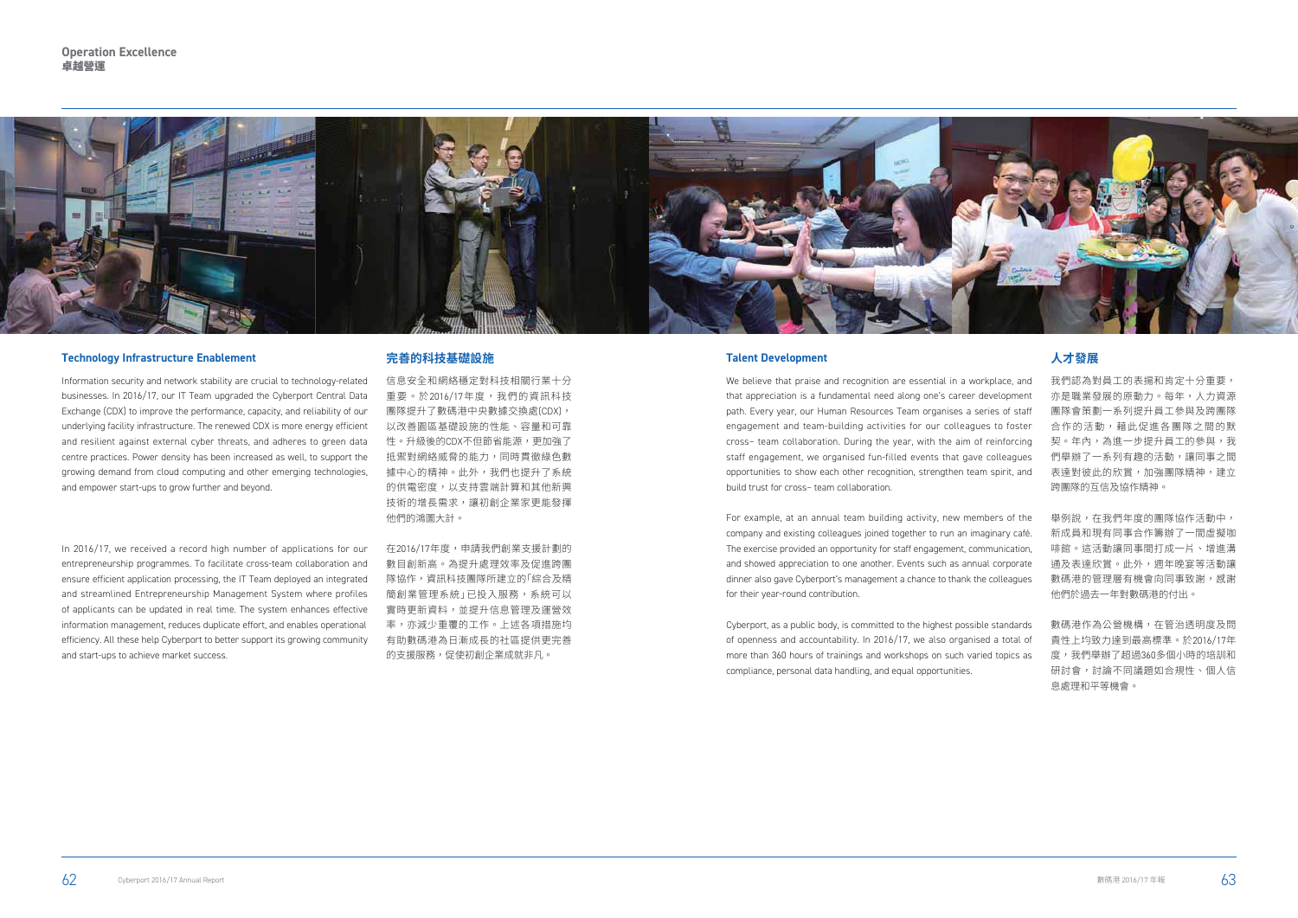### **Talent Development**

We believe that praise and recognition are essential in a workplace, and that appreciation is a fundamental need along one's career development path. Every year, our Human Resources Team organises a series of staff engagement and team-building activities for our colleagues to foster cross– team collaboration. During the year, with the aim of reinforcing staff engagement, we organised fun-filled events that gave colleagues opportunities to show each other recognition, strengthen team spirit, and build trust for cross– team collaboration.

For example, at an annual team building activity, new members of the company and existing colleagues joined together to run an imaginary café. The exercise provided an opportunity for staff engagement, communication, and showed appreciation to one another. Events such as annual corporate dinner also gave Cyberport's management a chance to thank the colleagues for their year-round contribution.



Cyberport, as a public body, is committed to the highest possible standards of openness and accountability. In 2016/17, we also organised a total of more than 360 hours of trainings and workshops on such varied topics as compliance, personal data handling, and equal opportunities.

## **人才發展**

我們認為對員工的表揚和肯定十分重要, 亦是職業發展的原動力。每年,人力資源 團隊會策劃一系列提升員工參與及跨團隊 合作的活動,藉此促進各團隊之間的默 契。年內,為進一步提升員工的參與,我 們舉辦了一系列有趣的活動,讓同事之間 表達對彼此的欣賞,加強團隊精神,建立 跨團隊的互信及協作精神。

舉例說,在我們年度的團隊協作活動中, 新成昌和現有同事合作籌辦了一問虚擬咖 啡館。這活動讓同事間打成一片、增進溝 通及表達欣賞。此外,週年晚宴等活動讓 數碼港的管理層有機會向同事致謝,感謝 他們於過去一年對數碼港的付出。

數碼港作為公營機構,在管治透明度及問 責性上均致力達到最高標準。於2016/17年 度,我們舉辦了超過360多個小時的培訓和 研討會,討論不同議題如合規性、個人信 息處理和平等機會。

### **Technology Infrastructure Enablement**

Information security and network stability are crucial to technology-related businesses. In 2016/17, our IT Team upgraded the Cyberport Central Data Exchange (CDX) to improve the performance, capacity, and reliability of our underlying facility infrastructure. The renewed CDX is more energy efficient and resilient against external cyber threats, and adheres to green data centre practices. Power density has been increased as well, to support the growing demand from cloud computing and other emerging technologies, and empower start-ups to grow further and beyond.

In 2016/17, we received a record high number of applications for our entrepreneurship programmes. To facilitate cross-team collaboration and ensure efficient application processing, the IT Team deployed an integrated and streamlined Entrepreneurship Management System where profiles of applicants can be updated in real time. The system enhances effective information management, reduces duplicate effort, and enables operational efficiency. All these help Cyberport to better support its growing community and start-ups to achieve market success.

### **完善的科技基礎設施**

信息安全和網絡穩定對科技相關行業十分 重要。於2016/17年度,我們的資訊科技 團隊提升了數碼港中央數據交換處(CDX), 以改善園區基礎設施的性能、容量和可靠 性。升級後的CDX不但節省能源,更加強了 抵禦對網絡威脅的能力,同時貫徹綠色數 據中心的精神。此外,我們也提升了系統 的供電密度,以支持雲端計算和其他新興 技術的增長需求,讓初創企業家更能發揮 他們的鴻圖大計。

在2016/17年度,申請我們創業支援計劃的 數目創新高。為提升處理效率及促進跨團 隊協作,資訊科技團隊所建立的「綜合及精 簡創業管理系統」已投入服務,系統可以 實時更新資料,並提升信息管理及運營效 率,亦減少重覆的工作。上述各項措施均 有助數碼港為日漸成長的社區提供更完善 的支援服務,促使初創企業成就非凡。